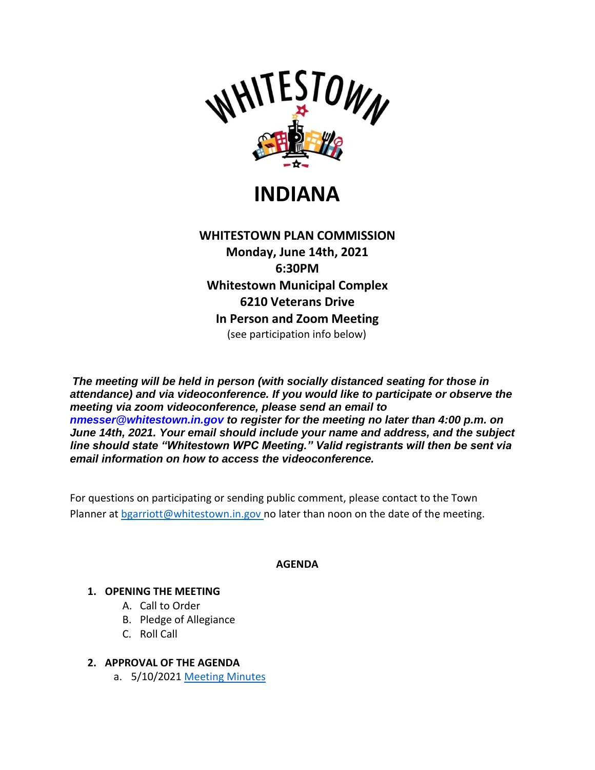

**INDIANA**

**WHITESTOWN PLAN COMMISSION Monday, June 14th, 2021 6:30PM Whitestown Municipal Complex 6210 Veterans Drive In Person and Zoom Meeting** (see participation info below)

*The meeting will be held in person (with socially distanced seating for those in attendance) and via videoconference. If you would like to participate or observe the meeting via zoom videoconference, please send an email to nmesser@whitestown.in.gov to register for the meeting no later than 4:00 p.m. on June 14th, 2021. Your email should include your name and address, and the subject line should state "Whitestown WPC Meeting." Valid registrants will then be sent via email information on how to access the videoconference.*

For questions on participating or sending public comment, please contact to the Town Planner at [bgarriott@whitestown.in.gov n](mailto:bgarriott@whitestown.in.gov)o later than noon on the date of the meeting.

#### **AGENDA**

# **1. OPENING THE MEETING**

- A. Call to Order
- B. Pledge of Allegiance
- C. Roll Call
- **2. APPROVAL OF THE AGENDA**
	- a. 5/10/2021 [Meeting Minutes](https://whitestown.in.gov/vertical/sites/%7BB8BE8AC3-9DE8-4247-BCB0-1173F48CC7C3%7D/uploads/05-10-21_WPC_Meeting_Minutes.pdf)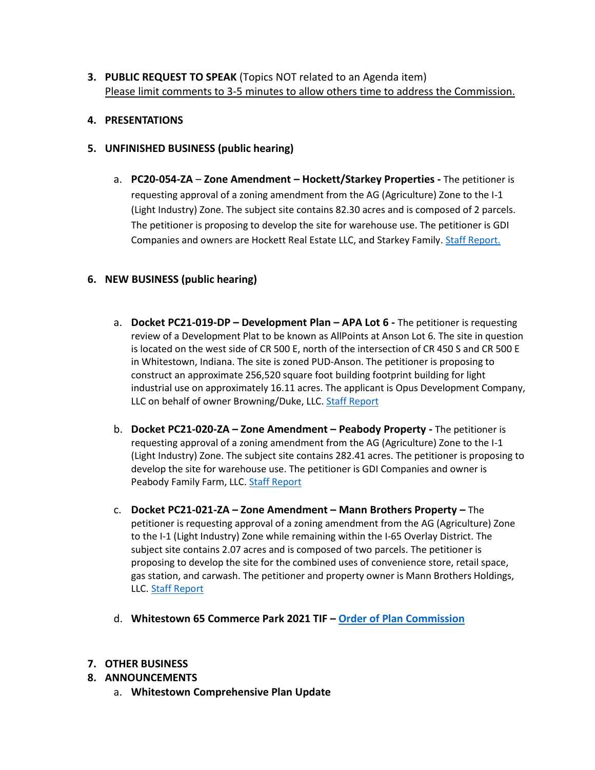**3. PUBLIC REQUEST TO SPEAK** (Topics NOT related to an Agenda item) Please limit comments to 3-5 minutes to allow others time to address the Commission.

### **4. PRESENTATIONS**

- **5. UNFINISHED BUSINESS (public hearing)**
	- a. **PC20-054-ZA Zone Amendment – Hockett/Starkey Properties -** The petitioner is requesting approval of a zoning amendment from the AG (Agriculture) Zone to the I-1 (Light Industry) Zone. The subject site contains 82.30 acres and is composed of 2 parcels. The petitioner is proposing to develop the site for warehouse use. The petitioner is GDI Companies and owners are Hockett Real Estate LLC, and Starkey Family[. Staff Report.](https://whitestown.in.gov/vertical/sites/%7BB8BE8AC3-9DE8-4247-BCB0-1173F48CC7C3%7D/uploads/Staff_Report_PC20-054-ZA_(2021).pdf)

### **6. NEW BUSINESS (public hearing)**

- a. **Docket PC21-019-DP – Development Plan – APA Lot 6 -** The petitioner is requesting review of a Development Plat to be known as AllPoints at Anson Lot 6. The site in question is located on the west side of CR 500 E, north of the intersection of CR 450 S and CR 500 E in Whitestown, Indiana. The site is zoned PUD-Anson. The petitioner is proposing to construct an approximate 256,520 square foot building footprint building for light industrial use on approximately 16.11 acres. The applicant is Opus Development Company, LLC on behalf of owner Browning/Duke, LLC. [Staff Report](https://whitestown.in.gov/vertical/sites/%7BB8BE8AC3-9DE8-4247-BCB0-1173F48CC7C3%7D/uploads/Staff_Report_PC21-019-DP.pdf)
- b. **Docket PC21-020-ZA – Zone Amendment – Peabody Property -** The petitioner is requesting approval of a zoning amendment from the AG (Agriculture) Zone to the I-1 (Light Industry) Zone. The subject site contains 282.41 acres. The petitioner is proposing to develop the site for warehouse use. The petitioner is GDI Companies and owner is Peabody Family Farm, LLC[. Staff Report](https://whitestown.in.gov/vertical/sites/%7BB8BE8AC3-9DE8-4247-BCB0-1173F48CC7C3%7D/uploads/Staff_Report_PC21-020-ZA.pdf)
- c. **Docket PC21-021-ZA – Zone Amendment – Mann Brothers Property –** The petitioner is requesting approval of a zoning amendment from the AG (Agriculture) Zone to the I-1 (Light Industry) Zone while remaining within the I-65 Overlay District. The subject site contains 2.07 acres and is composed of two parcels. The petitioner is proposing to develop the site for the combined uses of convenience store, retail space, gas station, and carwash. The petitioner and property owner is Mann Brothers Holdings, LLC. [Staff Report](https://whitestown.in.gov/vertical/sites/%7BB8BE8AC3-9DE8-4247-BCB0-1173F48CC7C3%7D/uploads/Staff_Report_PC21-021-ZA.pdf)
- d. **Whitestown 65 Commerce Park 2021 TIF – [Order of Plan Commission](https://whitestown.in.gov/vertical/sites/%7BB8BE8AC3-9DE8-4247-BCB0-1173F48CC7C3%7D/uploads/Whitestown_65_Commerce_Park_2021_TIF_-_order_of_plan_commission.pdf)**

#### **7. OTHER BUSINESS**

- **8. ANNOUNCEMENTS**
	- a. **Whitestown Comprehensive Plan Update**